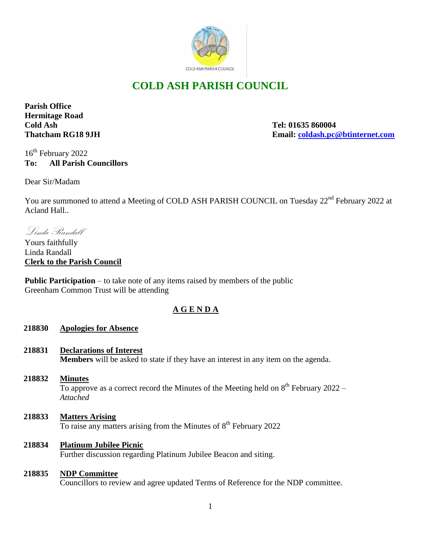

# **COLD ASH PARISH COUNCIL**

**Parish Office Hermitage Road Cold Ash Tel: 01635 860004**

**Thatcham RG18 9JH Email: [coldash.pc@btinternet.com](mailto:coldash.pc@btinternet.com)**

16<sup>th</sup> February 2022 **To: All Parish Councillors**

Dear Sir/Madam

You are summoned to attend a Meeting of COLD ASH PARISH COUNCIL on Tuesday 22<sup>nd</sup> February 2022 at Acland Hall..

Linda Randall

Yours faithfully Linda Randall **Clerk to the Parish Council** 

**Public Participation** – to take note of any items raised by members of the public Greenham Common Trust will be attending

# **A G E N D A**

## **218830 Apologies for Absence**

- **218831 Declarations of Interest Members** will be asked to state if they have an interest in any item on the agenda.
- **218832 Minutes** To approve as a correct record the Minutes of the Meeting held on  $8<sup>th</sup>$  February 2022 – *Attached*
- **218833 Matters Arising** To raise any matters arising from the Minutes of 8<sup>th</sup> February 2022
- **218834 Platinum Jubilee Picnic** Further discussion regarding Platinum Jubilee Beacon and siting.

#### **218835 NDP Committee**

Councillors to review and agree updated Terms of Reference for the NDP committee.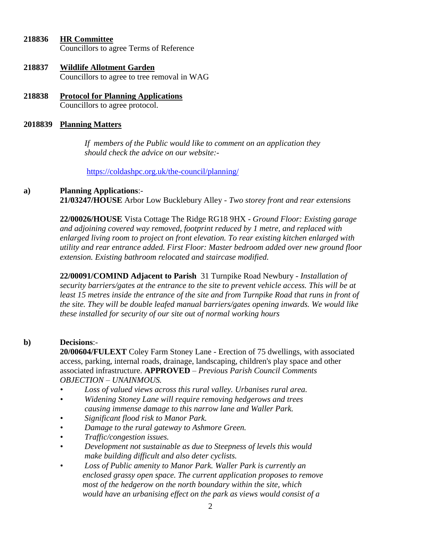| 218836 | <b>HR Committee</b>                     |
|--------|-----------------------------------------|
|        | Councillors to agree Terms of Reference |

- **218837 Wildlife Allotment Garden** Councillors to agree to tree removal in WAG
- **218838 Protocol for Planning Applications** Councillors to agree protocol.

# **2018839 Planning Matters**

 *If members of the Public would like to comment on an application they should check the advice on our website:-*

<https://coldashpc.org.uk/the-council/planning/>

#### **a) Planning Applications**:-

**21/03247/HOUSE** Arbor Low Bucklebury Alley - *Two storey front and rear extensions*

**22/00026/HOUSE** Vista Cottage The Ridge RG18 9HX - *Ground Floor: Existing garage and adjoining covered way removed, footprint reduced by 1 metre, and replaced with enlarged living room to project on front elevation. To rear existing kitchen enlarged with utility and rear entrance added. First Floor: Master bedroom added over new ground floor extension. Existing bathroom relocated and staircase modified.*

**22/00091/COMIND Adjacent to Parish** 31 Turnpike Road Newbury - *Installation of security barriers/gates at the entrance to the site to prevent vehicle access. This will be at*  least 15 metres inside the entrance of the site and from Turnpike Road that runs in front of *the site. They will be double leafed manual barriers/gates opening inwards. We would like these installed for security of our site out of normal working hours*

#### **b) Decisions**:-

**20/00604/FULEXT** Coley Farm Stoney Lane - Erection of 75 dwellings, with associated access, parking, internal roads, drainage, landscaping, children's play space and other associated infrastructure. **APPROVED** – *Previous Parish Council Comments OBJECTION – UNAINMOUS.*

- *• Loss of valued views across this rural valley. Urbanises rural area.*
- *• Widening Stoney Lane will require removing hedgerows and trees causing immense damage to this narrow lane and Waller Park.*
- *• Significant flood risk to Manor Park.*
- *• Damage to the rural gateway to Ashmore Green.*
- *• Traffic/congestion issues.*
- *• Development not sustainable as due to Steepness of levels this would make building difficult and also deter cyclists.*
- *• Loss of Public amenity to Manor Park. Waller Park is currently an enclosed grassy open space. The current application proposes to remove most of the hedgerow on the north boundary within the site, which would have an urbanising effect on the park as views would consist of a*